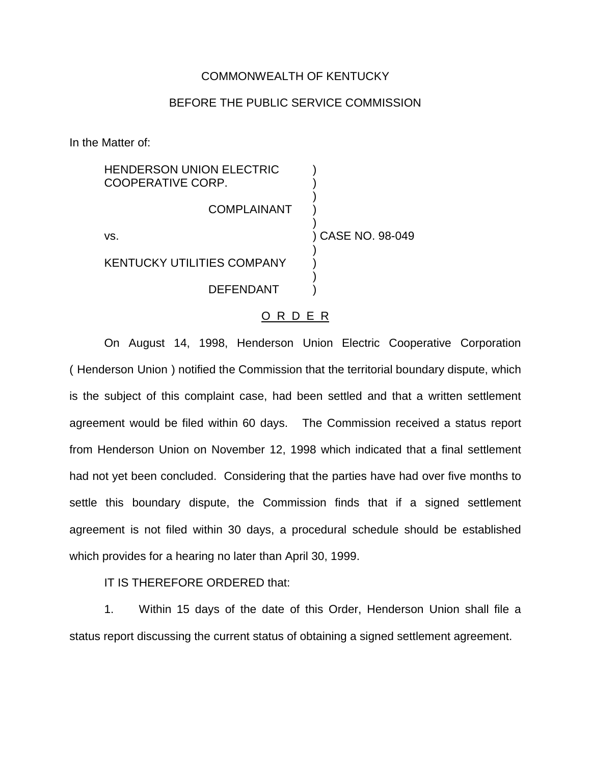## COMMONWEALTH OF KENTUCKY

## BEFORE THE PUBLIC SERVICE COMMISSION

In the Matter of:

| <b>HENDERSON UNION ELECTRIC</b><br>COOPERATIVE CORP. |                   |
|------------------------------------------------------|-------------------|
| COMPLAINANT                                          |                   |
| VS.                                                  | ) CASE NO. 98-049 |
| <b>KENTUCKY UTILITIES COMPANY</b>                    |                   |
| DEFENDANT                                            |                   |

## O R D E R

On August 14, 1998, Henderson Union Electric Cooperative Corporation ( Henderson Union ) notified the Commission that the territorial boundary dispute, which is the subject of this complaint case, had been settled and that a written settlement agreement would be filed within 60 days. The Commission received a status report from Henderson Union on November 12, 1998 which indicated that a final settlement had not yet been concluded. Considering that the parties have had over five months to settle this boundary dispute, the Commission finds that if a signed settlement agreement is not filed within 30 days, a procedural schedule should be established which provides for a hearing no later than April 30, 1999.

IT IS THEREFORE ORDERED that:

1. Within 15 days of the date of this Order, Henderson Union shall file a status report discussing the current status of obtaining a signed settlement agreement.